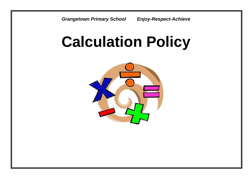*Grangetown Primary School Enjoy-Respect-Achieve* 

# **Calculation Policy**

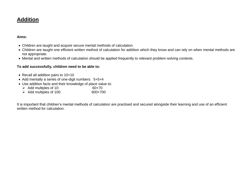#### **Aims:**

- Children are taught and acquire secure mental methods of calculation.
- Children are taught one efficient written method of calculation for addition which they know and can rely on when mental methods are not appropriate.
- Mental and written methods of calculation should be applied frequently to relevant problem-solving contexts.

#### **To add successfully, children need to be able to:**

- Recall all addition pairs to 10+10
- Add mentally a series of one-digit numbers: 5+5+4
- Use addition facts and their knowledge of place value to:
	- Add multiples of 10:  $\geq 60+70$ <br>Add multiples of 100:  $\geq 600+700$
	- $\triangleright$  Add multiples of 100:

It is important that children's mental methods of calculation are practised and secured alongside their learning and use of an efficient written method for calculation.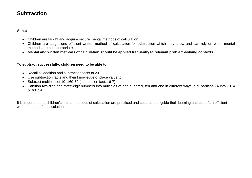#### **Aims:**

- Children are taught and acquire secure mental methods of calculation.
- Children are taught one efficient written method of calculation for subtraction which they know and can rely on when mental methods are not appropriate.
- **Mental and written methods of calculation should be applied frequently to relevant problem-solving contexts.**

#### **To subtract successfully, children need to be able to:**

- Recall all addition and subtraction facts to 20
- Use subtraction facts and their knowledge of place value to:
- Subtract multiples of 10: 160-70 (subtraction fact: 16-7)
- Partition two-digit and three-digit numbers into multiples of one hundred, ten and one in different ways: e.g. partition 74 into 70+4 or 60+14

It is important that children's mental methods of calculation are practised and secured alongside their learning and use of an efficient written method for calculation.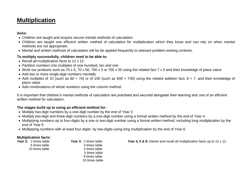#### **Aims:**

- Children are taught and acquire secure mental methods of calculation.
- Children are taught one efficient written method of calculation for multiplication which they know and can rely on when mental methods are not appropriate.
- Mental and written methods of calculation will be be applied frequently to relevant problem-solving contexts.

#### **To multiply successfully, children need to be able to:**

- Recall all multiplication facts to 12 x 12
- Partition numbers into multiples of one hundred, ten and one
- Work our products such as 70 x 5, 70 x 50, 700 x 5 or 700 x 50 using the related fact 7 x 5 and their knowledge of place value
- Add two or more single-digit numbers mentally
- Add multiples of 10 (such as 60 + 70) or of 100 (such as 600 + 700) using the related addition fact, 6 + 7, and their knowledge of place value
- Add combinations of whole numbers using the column method.

It is important that children's mental methods of calculation are practised and secured alongside their learning and use of an efficient written method for calculation.

#### **The stages build up to using an efficient method for:**

- Multiply two-digit numbers by a one-digit number by the end of Year 3
- Multiply two-digit and three-digit numbers by a one-digit number using a formal written method by the end of Year 4
- Multiplying numbers up to four-digits by a one or two-digit number using a formal written method, including long multiplication by the end of Year 5
- Multiplying numbers with at least four-digits by two-digits using long multiplication by the end of Year 6

# **Multiplication facts:**<br>**Year 2:** 2 times table

 5 times table 3 times table 10 times table 4 times table 5 times table 8 times table 10 times table

**Year 2:** 2 times table **Year 3:** 2 times table **Year 4, 5 & 6:** Derive and recall all multiplication facts up to 12 x 12.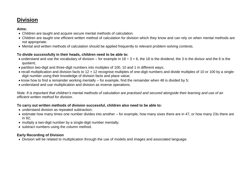#### **Aims:**

- Children are taught and acquire secure mental methods of calculation.
- Children are taught one efficient written method of calculation for division which they know and can rely on when mental methods are not appropriate.
- Mental and written methods of calculation should be applied frequently to relevant problem-solving contexts.

#### **To divide successfully in their heads, children need to be able to:**

- understand and use the vocabulary of division for example in  $18 \div 3 = 6$ , the 18 is the dividend, the 3 is the divisor and the 6 is the quotient;
- partition two-digit and three-digit numbers into multiples of 100, 10 and 1 in different ways;
- recall multiplication and division facts to 12 x 12 recognise multiples of one-digit numbers and divide multiples of 10 or 100 by a singledigit number using their knowledge of division facts and place value;
- $\bullet$  know how to find a remainder working mentally for example, find the remainder when 48 is divided by 5;
- understand and use multiplication and division as inverse operations.

*Note: It is important that children's mental methods of calculation are practised and secured alongside their learning and use of an efficient written method for division.*

#### **To carry out written methods of division successful, children also need to be able to:**

- understand division as repeated subtraction;
- estimate how many times one number divides into another for example, how many sixes there are in 47, or how many 23s there are in 92;
- multiply a two-digit number by a single-digit number mentally;
- subtract numbers using the column method.

#### **Early Recording of Division**

Division will be related to multiplication through the use of models and images and associated language.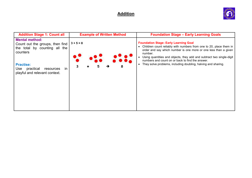

| <b>Addition Stage 1: Count all</b>                                                                    | <b>Example of Written Method</b> | <b>Foundation Stage - Early Learning Goals</b>                                                                                                                                                                                                                                                                               |
|-------------------------------------------------------------------------------------------------------|----------------------------------|------------------------------------------------------------------------------------------------------------------------------------------------------------------------------------------------------------------------------------------------------------------------------------------------------------------------------|
| <b>Mental method:</b><br>Count out the groups, then find<br>the total by counting all the<br>counters | $3 + 5 = 8$                      | <b>Foundation Stage- Early Learning Goal</b><br>Children count reliably with numbers from one to 20, place them in<br>order and say which number is one more or one less than a given<br>number.<br>Using quantities and objects, they add and subtract two single-digit<br>numbers and count on or back to find the answer. |
| <b>Practise:</b><br>Use<br>practical<br>resources<br>$\mathsf{I}$<br>playful and relevant context.    | 3<br>8                           | They solve problems, including doubling, halving and sharing.<br>$\bullet$                                                                                                                                                                                                                                                   |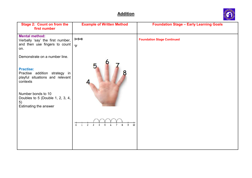

| <b>Stage 2: Count on from the</b><br>first number                                                                               | <b>Example of Written Method</b>                | <b>Foundation Stage - Early Learning Goals</b> |
|---------------------------------------------------------------------------------------------------------------------------------|-------------------------------------------------|------------------------------------------------|
| <b>Mental method:</b><br>Verbally 'say' the first number,<br>and then use fingers to count $\vert \cdot_3 \cdot \rangle$<br>on. | $3 + 5 = 8$                                     | <b>Foundation Stage Continued</b>              |
| Demonstrate on a number line.                                                                                                   |                                                 |                                                |
| <b>Practise:</b><br>Practise addition strategy in<br>playful situations and relevant<br>contexts<br>Number bonds to 10          | Ҕ                                               |                                                |
| Doubles to 5 (Double 1, 2, 3, 4,<br>5)<br>Estimating the answer                                                                 |                                                 |                                                |
|                                                                                                                                 | $rac{+}{9}$ 10<br>$\overline{0}$ $\overline{1}$ |                                                |
|                                                                                                                                 |                                                 |                                                |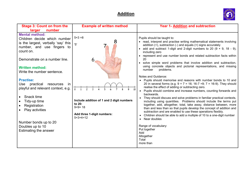

| <b>Stage 3: Count on from the</b><br>number<br>larger                                                                                                                                                                                                                                                                                                                                                                                                                                         | <b>Example of written method</b>                                                                                           | Year 1- Addition and subtraction                                                                                                                                                                                                                                                                                                                                                                                                                                                                                                                                                                                                                                                                                                                                                                                                                                                                                                                                                                                                                                                                                                                                                                                                                                                                                                                                                                                                |
|-----------------------------------------------------------------------------------------------------------------------------------------------------------------------------------------------------------------------------------------------------------------------------------------------------------------------------------------------------------------------------------------------------------------------------------------------------------------------------------------------|----------------------------------------------------------------------------------------------------------------------------|---------------------------------------------------------------------------------------------------------------------------------------------------------------------------------------------------------------------------------------------------------------------------------------------------------------------------------------------------------------------------------------------------------------------------------------------------------------------------------------------------------------------------------------------------------------------------------------------------------------------------------------------------------------------------------------------------------------------------------------------------------------------------------------------------------------------------------------------------------------------------------------------------------------------------------------------------------------------------------------------------------------------------------------------------------------------------------------------------------------------------------------------------------------------------------------------------------------------------------------------------------------------------------------------------------------------------------------------------------------------------------------------------------------------------------|
| <b>Mental method:</b><br>Children decide which number<br>is the largest, verbally 'say' this<br>'5'<br>number, and use fingers to<br>count on.<br>Demonstrate on a number line.<br><b>Written method:</b><br>Write the number sentence.<br><b>Practise:</b><br>practical<br>Use<br>resources<br>-in<br>playful and relevant context, e.g.<br>Snack time<br>Tidy-up time<br>$\bullet$<br>Registration<br>Play activities<br>Number bonds up to 20<br>Doubles up to 10<br>Estimating the answer | $5 + 3 = 8$<br>Include addition of 1 and 2 digit numbers<br>to 20:<br>$9+9=18$<br>Add three 1-digit numbers:<br>$5+3+4=12$ | Pupils should be taught to:<br>• read, interpret and practise writing mathematical statements involving<br>addition $(+)$ , subtraction $(-)$ and equals $(=)$ signs accurately<br>• add and subtract 1-digit and 2-digit numbers to 20 $(9 + 9, 18 - 9)$ ,<br>including zero<br>• represent and use number bonds and related subtraction facts within<br>20<br>• solve simple word problems that involve addition and subtraction,<br>using concrete objects and pictorial representations, and missing<br>problems.<br>number<br>Notes and Guidance:<br>Pupils should memorise and reasons with number bonds to 10 and<br>$\bullet$<br>20 in several forms (e.g. $9 + 7 = 16$ ; 16-7 =9; 7 = 16-9). They should<br>realise the effect of adding or subtracting zero.<br>Pupils should combine and increase numbers, counting forwards and<br>backwards.<br>They should discuss and solve problems in familiar practical contexts,<br>including using quantities. Problems should include the terms put<br>together, add, altogether, total, take away, distance between, more<br>than and less than so that pupils develop the concept of addition and<br>subtraction and are enabled to use these operations flexibly.<br>Children should be able to add a multiple of 10 to a one-digit number<br>$\bullet$<br>Near doubles<br>$\bullet$<br>Range of vocabulary:<br>Put together<br>Add<br>Altogether<br>Total<br>more than |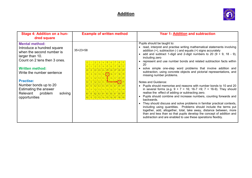

| Stage 4: Addition on a hun-<br>dred square                                                                                                                                                                                                                                                                          | <b>Example of written method</b>                                                                                                                                                                                        | <b>Year 1- Addition and subtraction</b>                                                                                                                                                                                                                                                                                                                                                                                                                                                                                                                                                                                                                                                                                                                                                                                                                                                                                                                                                                                                                                                                                                                                                                                                                   |
|---------------------------------------------------------------------------------------------------------------------------------------------------------------------------------------------------------------------------------------------------------------------------------------------------------------------|-------------------------------------------------------------------------------------------------------------------------------------------------------------------------------------------------------------------------|-----------------------------------------------------------------------------------------------------------------------------------------------------------------------------------------------------------------------------------------------------------------------------------------------------------------------------------------------------------------------------------------------------------------------------------------------------------------------------------------------------------------------------------------------------------------------------------------------------------------------------------------------------------------------------------------------------------------------------------------------------------------------------------------------------------------------------------------------------------------------------------------------------------------------------------------------------------------------------------------------------------------------------------------------------------------------------------------------------------------------------------------------------------------------------------------------------------------------------------------------------------|
| <b>Mental method:</b><br>Introduce a hundred square<br>when the second number is<br>larger than 10.<br>Count on 2 tens then 3 ones.<br><b>Written method:</b><br>Write the number sentence<br><b>Practise:</b><br>Number bonds up to 20<br>Estimating the answer<br>Relevant<br>problem<br>solving<br>opportunities | $35+23=58$<br>21 22 23 24 25 26 27 28<br>31 32 33 34 35 36 37 38 3<br>41 42 43 44 45 46 47 48<br>52 53 54 55 66 66<br>61 62 63 64 65 66 67 68<br>71 72 73 74 75 76 77<br>81 82 83 84 85 86 87 88 8<br>92 93 94 95 96 97 | Pupils should be taught to:<br>• read, interpret and practise writing mathematical statements involving<br>addition $(+)$ , subtraction $(-)$ and equals $(=)$ signs accurately<br>• add and subtract 1-digit and 2-digit numbers to 20 $(9 + 9, 18 - 9)$ ,<br>including zero<br>• represent and use number bonds and related subtraction facts within<br>20<br>solve simple one-step word problems that involve addition and<br>$\bullet$<br>subtraction, using concrete objects and pictorial representations, and<br>missing number problems.<br>Notes and Guidance:<br>• Pupils should memorise and reasons with number bonds to 10 and 20<br>in several forms (e.g. $9 + 7 = 16$ ; 16-7 =9; 7 = 16-9). They should<br>realise the effect of adding or subtracting zero.<br>Pupils should combine and increase numbers, counting forwards and<br>$\bullet$<br>backwards.<br>They should discuss and solve problems in familiar practical contexts,<br>$\bullet$<br>including using quantities. Problems should include the terms put<br>together, add, altogether, total, take away, distance between, more<br>than and less than so that pupils develop the concept of addition and<br>subtraction and are enabled to use these operations flexibly. |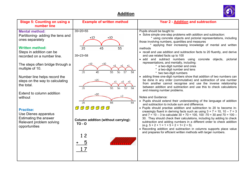

| <b>Stage 5: Counting on using a</b><br>number line                                                             | <b>Example of written method</b>                                  | Year 2 - Addition and subtraction                                                                                                                                                                                                                                                                                                                                                                                                                                                                                 |
|----------------------------------------------------------------------------------------------------------------|-------------------------------------------------------------------|-------------------------------------------------------------------------------------------------------------------------------------------------------------------------------------------------------------------------------------------------------------------------------------------------------------------------------------------------------------------------------------------------------------------------------------------------------------------------------------------------------------------|
| <b>Mental method:</b><br>Partitioning- adding the tens and<br>ones separately                                  | $35+20=55$<br>$+10$<br>$+10$                                      | Pupils should be taught to:<br>• Solve simple one-step problems with addition and subtraction:<br>* using concrete objects and pictorial representations, including<br>those involving numbers, quantities and measures                                                                                                                                                                                                                                                                                           |
| <b>Written method:</b><br>Steps in addition can be<br>recorded on a number line.                               | 45<br>55<br>35<br>$35+23=58$                                      | * applying their increasing knowledge of mental and written<br>methods<br>• recall and use addition and subtraction facts to 20 fluently, and derive<br>and use related facts up to 100<br>· add and subtract numbers using concrete objects, pictorial                                                                                                                                                                                                                                                           |
| The steps often bridge through a<br>multiple of 10.                                                            | 45<br>55<br>56<br>35<br>58<br>57                                  | representations, and mentally, including:<br>* a two-digit number and ones<br>* a two-digit number and tens<br>* two two-digit numbers                                                                                                                                                                                                                                                                                                                                                                            |
| Number line helps record the<br>steps on the way to calculating<br>the total.                                  | $+20$<br>35<br>55<br>56<br>57<br>58                               | • adding three one-digit numbers show that addition of two numbers can<br>be done in any order (commutative) and subtraction of one number<br>from another cannot recognise and use the inverse relationship<br>between addition and subtraction and use this to check calculations<br>and missing number problems.                                                                                                                                                                                               |
| Extend to column addition<br>without                                                                           | $+20$<br>$+3$<br>58<br>35<br>55                                   | Notes and Guidance:<br>• Pupils should extend their understanding of the language of addition<br>and subtraction to include sum and difference.                                                                                                                                                                                                                                                                                                                                                                   |
| <b>Practise:</b><br>Use Dienes apparatus<br>Estimating the answer<br>Relevant problem solving<br>opportunities | 0000000<br><b>Column addition (without carrying):</b><br>$TO - O$ | • Pupils should practise addition and subtraction to 20 to become in-<br>creasingly fluent in deriving facts such as using $3 + 7 = 10$ , $10 - 7 = 3$<br>and $7 = 10 - 3$ to calculate $30 + 70 = 100$ , 100 -70 = 30 and $70 = 100 -$<br>30. They should check their calculations, including by adding to check<br>subtraction and adding numbers in a different order to check addition<br>$(e.g. 5 + 2 + 1 = 1 + 5 + 2 + 1 + 2 + 5).$<br>• Recording addition and subtraction in columns supports place value |
|                                                                                                                | 12<br>17                                                          | and prepares for efficient written methods with larger numbers.                                                                                                                                                                                                                                                                                                                                                                                                                                                   |
|                                                                                                                |                                                                   |                                                                                                                                                                                                                                                                                                                                                                                                                                                                                                                   |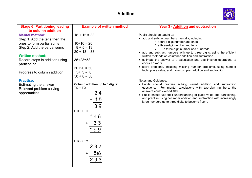

| <b>Stage 6: Partitioning leading</b><br>to column addition                                                                                                                                                                                                                                                                 | <b>Example of written method</b>                                                                                                                                                                                                                                          | <b>Year 3 - Addition and subtraction</b>                                                                                                                                                                                                                                                                                                                                                                                                                                                                                                                                                                                                                                                                                                                                                                                                                                                                                                                           |
|----------------------------------------------------------------------------------------------------------------------------------------------------------------------------------------------------------------------------------------------------------------------------------------------------------------------------|---------------------------------------------------------------------------------------------------------------------------------------------------------------------------------------------------------------------------------------------------------------------------|--------------------------------------------------------------------------------------------------------------------------------------------------------------------------------------------------------------------------------------------------------------------------------------------------------------------------------------------------------------------------------------------------------------------------------------------------------------------------------------------------------------------------------------------------------------------------------------------------------------------------------------------------------------------------------------------------------------------------------------------------------------------------------------------------------------------------------------------------------------------------------------------------------------------------------------------------------------------|
| <b>Mental method:</b><br>Step 1: Add the tens then the<br>ones to form partial sums<br>Step 2: Add the partial sums<br><b>Written method:</b><br>Record steps in addition using<br>partitioning.<br>Progress to column addition.<br><b>Practise:</b><br>Estimating the answer<br>Relevant problem solving<br>opportunities | $18 + 15 = 33$<br>$10+10=20$<br>$8 + 5 = 13$<br>$20 + 13 = 33$<br>$35+23=58$<br>$30+20 = 50$<br>$5+ 3 = 8$<br>$50 + 8 = 58$<br>Column addition up to 3 digits:<br>$TO + TO$<br>24<br>15<br><u>39</u><br>$HTO + TO$<br>126<br>33<br>159<br>$HTO + TO$<br>237<br>516<br>293 | Pupils should be taught to:<br>• add and subtract numbers mentally, including:<br>* a three-digit number and ones<br>* a three-digit number and tens<br>a three-digit number and hundreds<br>• add and subtract numbers with up to three digits, using the efficient<br>written methods of columnar addition and subtraction<br>• estimate the answer to a calculation and use inverse operations to<br>check answers<br>• solve problems, including missing number problems, using number<br>facts, place value, and more complex addition and subtraction.<br>Notes and Guidance:<br>. Pupils should practise solving varied addition and subtraction<br>questions. For mental calculations with two-digit numbers, the<br>answers could exceed 100.<br>• Pupils should use their understanding of place value and partitioning,<br>and practise using columnar addition and subtraction with increasingly<br>large numbers up to three digits to become fluent. |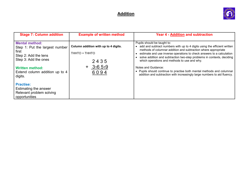

| <b>Stage 7: Column addition</b>                                                                                                                                                         | <b>Example of written method</b>                                                 | Year 4 - Addition and subtraction                                                                                                                                                                                                                                                                                                                                                                                                                                                                                                                                     |
|-----------------------------------------------------------------------------------------------------------------------------------------------------------------------------------------|----------------------------------------------------------------------------------|-----------------------------------------------------------------------------------------------------------------------------------------------------------------------------------------------------------------------------------------------------------------------------------------------------------------------------------------------------------------------------------------------------------------------------------------------------------------------------------------------------------------------------------------------------------------------|
| <b>Mental method:</b><br>Step 1: Put the largest number<br>first<br>Step 2: Add the tens<br>Step 3: Add the ones<br><b>Written method:</b><br>Extend column addition up to 4<br>digits. | Column addition with up to 4 digits.<br>THHTO + THHTO<br>2435<br>316 519<br>6094 | Pupils should be taught to:<br>add and subtract numbers with up to 4 digits using the efficient written<br>$\bullet$<br>methods of columnar addition and subtraction where appropriate<br>estimate and use inverse operations to check answers to a calculation<br>solve addition and subtraction two-step problems in contexts, deciding<br>which operations and methods to use and why.<br>Notes and Guidance:<br>• Pupils should continue to practise both mental methods and columnar<br>addition and subtraction with increasingly large numbers to aid fluency. |
| <b>Practise:</b><br>Estimating the answer<br>Relevant problem solving<br>opportunities                                                                                                  |                                                                                  |                                                                                                                                                                                                                                                                                                                                                                                                                                                                                                                                                                       |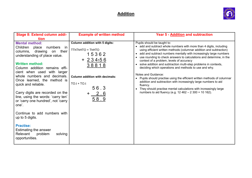

| <b>Stage 8: Extend column addi-</b><br>tion                                                                                                                                                                                                                                                                                                                                                                                              | <b>Example of written method</b>                                                                                                                                          | <b>Year 5 - Addition and subtraction</b>                                                                                                                                                                                                                                                                                                                                                                                                                                                                                                                                                                                                                                                                                                                                                                                                                     |
|------------------------------------------------------------------------------------------------------------------------------------------------------------------------------------------------------------------------------------------------------------------------------------------------------------------------------------------------------------------------------------------------------------------------------------------|---------------------------------------------------------------------------------------------------------------------------------------------------------------------------|--------------------------------------------------------------------------------------------------------------------------------------------------------------------------------------------------------------------------------------------------------------------------------------------------------------------------------------------------------------------------------------------------------------------------------------------------------------------------------------------------------------------------------------------------------------------------------------------------------------------------------------------------------------------------------------------------------------------------------------------------------------------------------------------------------------------------------------------------------------|
| <b>Mental method:</b><br>Children place<br>numbers<br>in.<br>drawing<br>columns,<br>their<br>on<br>understanding of place value.<br><b>Written method:</b><br>Column addition remains effi-<br>cient when used with larger<br>whole numbers and decimals.<br>Once learned, the method is<br>quick and reliable.<br>Carry digits are recorded on the<br>line, using the words: 'carry ten'<br>or 'carry one hundred', not 'carry<br>one'. | <b>Column addition with 5 digits:</b><br>TThThHTO + ThHTO<br>15362<br>$+234156$<br>38818<br><b>Column addition with decimals:</b><br>$TO.t + TO.t$<br>56.3<br>2.6<br>58.9 | Pupils should be taught to:<br>• add and subtract whole numbers with more than 4 digits, including<br>using efficient written methods (columnar addition and subtraction)<br>• add and subtract numbers mentally with increasingly large numbers<br>use rounding to check answers to calculations and determine, in the<br>$\bullet$<br>context of a problem, levels of accuracy<br>• solve addition and subtraction multi-step problems in contexts,<br>deciding which operations and methods to use and why.<br>Notes and Guidance:<br>Pupils should practise using the efficient written methods of columnar<br>$\bullet$<br>addition and subtraction with increasingly large numbers to aid<br>fluency.<br>They should practise mental calculations with increasingly large<br>$\bullet$<br>numbers to aid fluency (e.g. $12\,462 - 2\,300 = 10\,162$ ). |
| Continue to add numbers with<br>up to 5 digits.                                                                                                                                                                                                                                                                                                                                                                                          |                                                                                                                                                                           |                                                                                                                                                                                                                                                                                                                                                                                                                                                                                                                                                                                                                                                                                                                                                                                                                                                              |
| <b>Practise:</b><br>Estimating the answer<br>Relevant<br>problem<br>solving<br>opportunities.                                                                                                                                                                                                                                                                                                                                            |                                                                                                                                                                           |                                                                                                                                                                                                                                                                                                                                                                                                                                                                                                                                                                                                                                                                                                                                                                                                                                                              |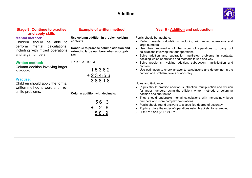

| <b>Stage 9: Continue to practise</b>                                                        | <b>Example of written method</b>                                                           | Year 6 - Addition and subtraction                                                                                                                                                                 |
|---------------------------------------------------------------------------------------------|--------------------------------------------------------------------------------------------|---------------------------------------------------------------------------------------------------------------------------------------------------------------------------------------------------|
| and apply skills                                                                            |                                                                                            |                                                                                                                                                                                                   |
| <b>Mental method:</b><br>Children should<br>be able to                                      | Use column addition in problem solving<br>contexts.                                        | Pupils should be taught to:<br>• Perform mental calculations, including with mixed operations and<br>large numbers                                                                                |
| perform<br>mental<br>calculations,<br>including with mixed operations<br>and large numbers. | Continue to practise column addition and<br>extend to large numbers when appropri-<br>ate: | • Use their knowledge of the order of operations to carry out<br>calculations involving the four operations                                                                                       |
| <b>Written method:</b>                                                                      | TThThHTO + ThHTO                                                                           | • Solve addition and subtraction multi-step problems in contexts,<br>deciding which operations and methods to use and why<br>• Solve problems involving addition, subtraction, multiplication and |
| Column addition involving larger<br>numbers.                                                | 15362                                                                                      | division<br>• Use estimation to check answer to calculations and determine, in the                                                                                                                |
|                                                                                             | $+234156$                                                                                  | context of a problem, levels of accuracy.                                                                                                                                                         |
| <b>Practise:</b><br>Children should apply the formal<br>written method to word and re-      | 38818                                                                                      | Notes and Guidance<br>• Pupils should practise addition, subtraction, multiplication and division                                                                                                 |
| al-life problems.                                                                           | <b>Column addition with decimals:</b>                                                      | for larger numbers, using the efficient written methods of columnar<br>addition and subtraction.                                                                                                  |
|                                                                                             | 56.3                                                                                       | • They should undertake mental calculations with increasingly large<br>numbers and more complex calculations.<br>Pupils should round answers to a specified degree of accuracy.                   |
|                                                                                             | $+ 2.6$<br>58.9                                                                            | • Pupils explore the order of operations using brackets; for example,<br>$2 + 1 \times 3 = 5$ and $(2 + 1) \times 3 = 9$ .                                                                        |
|                                                                                             |                                                                                            |                                                                                                                                                                                                   |
|                                                                                             |                                                                                            |                                                                                                                                                                                                   |
|                                                                                             |                                                                                            |                                                                                                                                                                                                   |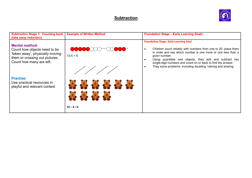

| <b>Subtraction Stage 1: Counting back</b><br>(take away reduction)                                                                                     | <b>Example of Written Method</b>       | <b>Foundation Stage - Early Learning Goals</b>                                                                                                                                                                                                                                                                                                                                                                                      |
|--------------------------------------------------------------------------------------------------------------------------------------------------------|----------------------------------------|-------------------------------------------------------------------------------------------------------------------------------------------------------------------------------------------------------------------------------------------------------------------------------------------------------------------------------------------------------------------------------------------------------------------------------------|
| <b>Mental method:</b><br>Count how objects need to be<br>'taken away', physically moving<br>them or crossing out pictures.<br>Count how many are left. | $13-5=8$                               | <b>Foundation Stage-Early Learning Goal</b><br>Children count reliably with numbers from one to 20, place them<br>$\bullet$<br>in order and say which number is one more or one less than a<br>given number.<br>Using quantities and objects, they add and subtract two<br>$\bullet$<br>single-digit numbers and count on or back to find the answer.<br>They solve problems, including doubling, halving and sharing.<br>$\bullet$ |
| <b>Practise:</b><br>Use practical resources in<br>playful and relevant context                                                                         | <b>Co of a compact</b><br>$10 - 4 = 6$ |                                                                                                                                                                                                                                                                                                                                                                                                                                     |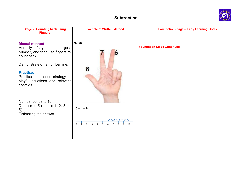

| <b>Stage 2: Counting back using</b><br><b>Fingers</b>                                                       | <b>Example of Written Method</b> | <b>Foundation Stage - Early Learning Goals</b> |
|-------------------------------------------------------------------------------------------------------------|----------------------------------|------------------------------------------------|
| <b>Mental method:</b><br>Verbally 'say'<br>the<br>largest<br>number, and then use fingers to<br>count back. | $9 - 3 = 6$<br>6                 | <b>Foundation Stage Continued</b>              |
| Demonstrate on a number line.                                                                               | 8                                |                                                |
| <b>Practise:</b><br>Practise subtraction strategy in<br>playful situations and relevant<br>contexts.        |                                  |                                                |
| Number bonds to 10<br>Doubles to 5 (double 1, 2, 3, 4,<br>5)<br>Estimating the answer                       | $10 - 4 = 6$                     |                                                |
|                                                                                                             |                                  |                                                |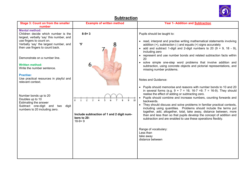

| <b>Stage 3: Count on from the smaller</b><br>number                                                                                                                                                               | <b>Example of written method</b>                                     | <b>Year 1- Addition and Subtraction</b>                                                                                                                                                                                                                                                                                                                                                                                                                                                                                                                                                                                                            |
|-------------------------------------------------------------------------------------------------------------------------------------------------------------------------------------------------------------------|----------------------------------------------------------------------|----------------------------------------------------------------------------------------------------------------------------------------------------------------------------------------------------------------------------------------------------------------------------------------------------------------------------------------------------------------------------------------------------------------------------------------------------------------------------------------------------------------------------------------------------------------------------------------------------------------------------------------------------|
| <b>Mental method:</b><br>Children decide which number is the<br>largest, verbally 'say' this number, and<br>use fingers to count on.<br>Verbally 'say' the largest number, and<br>then use fingers to count back. | $8 - 5 = 3$<br>'5'                                                   | Pupils should be taught to:<br>• read, interpret and practise writing mathematical statements involving<br>addition $(+)$ , subtraction $(-)$ and equals $(=)$ signs accurately<br>• add and subtract 1-digit and 2-digit numbers to 20 $(9 + 9, 18 - 9)$ ,<br>including zero                                                                                                                                                                                                                                                                                                                                                                      |
| Demonstrate on a number line.                                                                                                                                                                                     |                                                                      | • represent and use number bonds and related subtraction facts within<br>20<br>• solve simple one-step word problems that involve addition and                                                                                                                                                                                                                                                                                                                                                                                                                                                                                                     |
| <b>Written method:</b><br>Write the number sentence.                                                                                                                                                              |                                                                      | subtraction, using concrete objects and pictorial representations, and<br>missing number problems.                                                                                                                                                                                                                                                                                                                                                                                                                                                                                                                                                 |
| <b>Practise:</b><br>Use practical resources in playful and<br>relevant context.                                                                                                                                   |                                                                      | Notes and Guidance:                                                                                                                                                                                                                                                                                                                                                                                                                                                                                                                                                                                                                                |
| Number bonds up to 20<br>Doubles up to 10<br>Estimating the answer<br>Subtract one-digit and two<br>digit<br>numbers to 20 including zero.                                                                        | Include subtraction of 1 and 2 digit num-<br>bers to 20:<br>$18-9=9$ | Pupils should memorise and reasons with number bonds to 10 and 20<br>in several forms (e.g. $9 + 7 = 16$ ; 16-7 =9; 7 = 16-9). They should<br>realise the effect of adding or subtracting zero.<br>Pupils should combine and increase numbers, counting forwards and<br>backwards.<br>They should discuss and solve problems in familiar practical contexts,<br>including using quantities. Problems should include the terms put<br>together, add, altogether, total, take away, distance between, more<br>than and less than so that pupils develop the concept of addition and<br>subtraction and are enabled to use these operations flexibly. |
|                                                                                                                                                                                                                   |                                                                      | Range of vocabulary:<br>Less than<br>take away<br>distance between                                                                                                                                                                                                                                                                                                                                                                                                                                                                                                                                                                                 |
|                                                                                                                                                                                                                   |                                                                      |                                                                                                                                                                                                                                                                                                                                                                                                                                                                                                                                                                                                                                                    |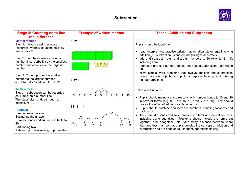

| <b>Stage 4: Counting on to find</b><br>the difference                                                                                                      | <b>Example of written method</b>                                                    | <b>Year 1- Addition and Subtraction</b>                                                                                                                                                                                                                                                                                                                        |
|------------------------------------------------------------------------------------------------------------------------------------------------------------|-------------------------------------------------------------------------------------|----------------------------------------------------------------------------------------------------------------------------------------------------------------------------------------------------------------------------------------------------------------------------------------------------------------------------------------------------------------|
| <b>Mental method:</b><br>Step 1: Introduce using practical<br>resources, verbally counting on 'How<br>many more?'                                          | $5 - 2 = 3$                                                                         | Pupils should be taught to:<br>• read, interpret and practise writing mathematical statements involving                                                                                                                                                                                                                                                        |
| Step 2: Find the difference using a<br>number line. Verbally say the smallest<br>number and count on to the largest<br>number.                             | 1, 2, 3                                                                             | addition $(+)$ , subtraction $(-)$ and equals $(=)$ signs accurately<br>• add and subtract 1-digit and 2-digit numbers to 20 $(9 + 9, 18 - 9)$ ,<br>including zero<br>• represent and use number bonds and related subtraction facts within<br>20                                                                                                              |
| Step 3: Count up from the smallest<br>number to the largest number.<br>e.g. Start at 27 and count on to 31                                                 | $6 - 3 = 3$                                                                         | solve simple word problems that involve addition and subtraction,<br>using concrete objects and pictorial representations, and missing<br>number problems.                                                                                                                                                                                                     |
| <b>Written method:</b><br>Steps in subtraction can be recorded<br>as 'jumps' on a number line.<br>The steps often bridge through a<br>multiple of 10.      | $+1$ $+1$ $+1$<br>$\circ$<br>$\Omega$                                               | Notes and Guidance:<br>• Pupils should memorise and reasons with number bonds to 10 and 20<br>in several forms (e.g. $9 + 7 = 16$ ; 16-7 =9; 7 = 16-9). They should                                                                                                                                                                                            |
| <b>Practise:</b>                                                                                                                                           | $31 - 17 = 14$                                                                      | realise the effect of adding or subtracting zero.<br>Pupils should combine and increase numbers, counting forwards and<br>backwards.                                                                                                                                                                                                                           |
| Use dienes apparatus<br>Estimating the answer<br>Number bonds and subtraction facts to<br>20<br>Partitioning two<br>Relevant problem solving opportunities | $+10$<br>$+1$<br>$+1$<br>$\overline{\text{XX}_{17}}$<br>18<br>19<br>20<br>30.<br>31 | • They should discuss and solve problems in familiar practical contexts,<br>including using quantities. Problems should include the terms put<br>together, add, altogether, total, take away, distance between, more<br>than and less than so that pupils develop the concept of addition and<br>subtraction and are enabled to use these operations flexibly. |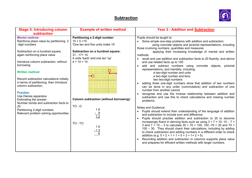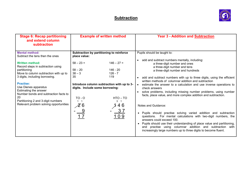

| <b>Stage 6: Recap partitioning</b><br>and extend column<br>subtraction                                                                                                                                                                                                                                                                                                                                                 | <b>Example of written method</b>                                                                                                                                                                                                                                                                                       | <b>Year 3 - Addition and Subtraction</b>                                                                                                                                                                                                                                                                                                                                                                                                                                                                                                                                                                                                                                                                                                                                                                                                                                                                                                                                                  |
|------------------------------------------------------------------------------------------------------------------------------------------------------------------------------------------------------------------------------------------------------------------------------------------------------------------------------------------------------------------------------------------------------------------------|------------------------------------------------------------------------------------------------------------------------------------------------------------------------------------------------------------------------------------------------------------------------------------------------------------------------|-------------------------------------------------------------------------------------------------------------------------------------------------------------------------------------------------------------------------------------------------------------------------------------------------------------------------------------------------------------------------------------------------------------------------------------------------------------------------------------------------------------------------------------------------------------------------------------------------------------------------------------------------------------------------------------------------------------------------------------------------------------------------------------------------------------------------------------------------------------------------------------------------------------------------------------------------------------------------------------------|
| <b>Mental method:</b><br>Subtract the tens then the ones<br><b>Written method:</b><br>Record steps in subtraction using<br>partitioning<br>Move to column subtraction with up to<br>3 digits, including borrowing.<br><b>Practise:</b><br>Use Dienes apparatus<br>Estimating the answer<br>Number bonds and subtraction facts to<br>20<br>Partitioning 2 and 3-digit numbers<br>Relevant problem solving opportunities | Subtraction by partitioning to reinforce<br>place value:<br>$146 - 27 =$<br>$58 - 23 =$<br>$58 - 20$<br>$146 - 20$<br>$38 - 3$<br>$126 - 7$<br>35<br>119<br>Introduce column subtraction with up to 3-<br>digits. Include some borrowing:<br>$TO - O$<br>$HTO - TO$<br>31<br>$\boldsymbol{\mathcal{Z}}$ 6<br>46<br>109 | Pupils should be taught to:<br>add and subtract numbers mentally, including:<br>$\bullet$<br>a three-digit number and ones<br>a three-digit number and tens<br>a three-digit number and hundreds<br>add and subtract numbers with up to three digits, using the efficient<br>written methods of columnar addition and subtraction<br>estimate the answer to a calculation and use inverse operations to<br>check answers<br>solve problems, including missing number problems, using number<br>facts, place value, and more complex addition and subtraction.<br>Notes and Guidance:<br>Pupils should practise solving varied addition and subtraction<br>$\bullet$<br>questions. For mental calculations with two-digit numbers, the<br>answers could exceed 100.<br>Pupils should use their understanding of place value and partitioning,<br>$\bullet$<br>and practise using columnar addition and subtraction with<br>increasingly large numbers up to three digits to become fluent. |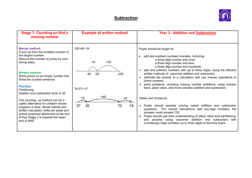

| <b>Stage 7: Counting on find a</b><br>missing number                                                                                                                                                                                                                                                                 | <b>Example of written method</b>                                  | <b>Year 3 - Addition and Subtraction</b>                                                                                                                                                                                                                                                                                                                                                                                                                                                                                                                                       |
|----------------------------------------------------------------------------------------------------------------------------------------------------------------------------------------------------------------------------------------------------------------------------------------------------------------------|-------------------------------------------------------------------|--------------------------------------------------------------------------------------------------------------------------------------------------------------------------------------------------------------------------------------------------------------------------------------------------------------------------------------------------------------------------------------------------------------------------------------------------------------------------------------------------------------------------------------------------------------------------------|
| <b>Mental method:</b><br>Count up from the smallest number to<br>the largest number.<br>Reduce the number of jumps by com-<br>bining steps.<br><b>Written method:</b><br>Show jumps on an empty number line<br>Write the number sentence<br><b>Practise:</b><br>Partitioning<br>Addition and subtraction facts to 20 | $100 - 46 = 54$<br>$+50$<br>$+4$<br>46<br>50<br>100<br>$74-27=47$ | Pupils should be taught to:<br>add and subtract numbers mentally, including:<br>$\bullet$<br>a three-digit number and ones<br>a three-digit number and tens<br>a three-digit number and hundreds<br>• add and subtract numbers with up to three digits, using the efficient<br>written methods of columnar addition and subtraction<br>• estimate the answer to a calculation and use inverse operations to<br>check answers<br>solve problems, including missing number problems, using number<br>$\bullet$<br>facts, place value, and more complex addition and subtraction. |
| The counting- up method can be a<br>useful alternative for children whose<br>progress is slow, whose mental and<br>written calculation skills are weak and<br>whose projected attainment at the end<br>of Key Stage 2 is towards the lower<br>end of ARE                                                             | $+40$<br>$+3$<br>27<br>70<br>74<br>30                             | Notes and Guidance:<br>Pupils should practise solving varied addition and subtraction<br>$\bullet$<br>questions. For mental calculations with two-digit numbers, the<br>answers could exceed 100.<br>Pupils should use their understanding of place value and partitioning,<br>and practise using columnar addition and subtraction<br>with<br>increasingly large numbers up to three digits to become fluent.                                                                                                                                                                 |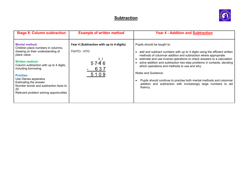

| <b>Stage 8: Column subtraction</b>                                                                                                                                                                                                                                                                                                                                          | <b>Example of written method</b>                                                                                                                                | <b>Year 4 - Addition and Subtraction</b>                                                                                                                                                                                                                                                                                                                                                                                                                                                                                                                  |
|-----------------------------------------------------------------------------------------------------------------------------------------------------------------------------------------------------------------------------------------------------------------------------------------------------------------------------------------------------------------------------|-----------------------------------------------------------------------------------------------------------------------------------------------------------------|-----------------------------------------------------------------------------------------------------------------------------------------------------------------------------------------------------------------------------------------------------------------------------------------------------------------------------------------------------------------------------------------------------------------------------------------------------------------------------------------------------------------------------------------------------------|
| <b>Mental method:</b><br>Children place numbers in columns,<br>drawing on their understanding of<br>place value.<br><b>Written method:</b><br>Column subtraction with up to 4 digits,<br>including borrowing.<br><b>Practise:</b><br>Use Dienes apparatus<br>Estimating the answer<br>Number bonds and subtraction facts to<br>20<br>Relevant problem solving opportunities | Year 4 (Subtraction with up to 4-digits)<br>ThHTO - HTO<br>$\begin{array}{c}\n 3 \text{ } 1 \\ 5 \text{ } 7 \text{ } 4 \text{ } 6\n \end{array}$<br>637<br>5109 | Pupils should be taught to:<br>add and subtract numbers with up to 4 digits using the efficient written<br>methods of columnar addition and subtraction where appropriate<br>estimate and use inverse operations to check answers to a calculation<br>solve addition and subtraction two-step problems in contexts, deciding<br>which operations and methods to use and why.<br>Notes and Guidance:<br>Pupils should continue to practise both mental methods and columnar<br>addition and subtraction with increasingly large numbers to aid<br>fluency. |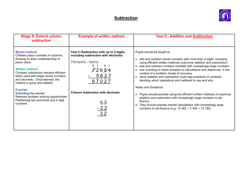

| <b>Stage 9: Extend column</b><br>subtraction                                                                                                                                                                                                                                                                                                                                                                                               | <b>Example of written method</b>                                                                                                                                                                                           | <b>Year 5 - Addition and Subtraction</b>                                                                                                                                                                                                                                                                                                                                                                                                                                                                                                                                                                                                                                                                                                                                                                                            |
|--------------------------------------------------------------------------------------------------------------------------------------------------------------------------------------------------------------------------------------------------------------------------------------------------------------------------------------------------------------------------------------------------------------------------------------------|----------------------------------------------------------------------------------------------------------------------------------------------------------------------------------------------------------------------------|-------------------------------------------------------------------------------------------------------------------------------------------------------------------------------------------------------------------------------------------------------------------------------------------------------------------------------------------------------------------------------------------------------------------------------------------------------------------------------------------------------------------------------------------------------------------------------------------------------------------------------------------------------------------------------------------------------------------------------------------------------------------------------------------------------------------------------------|
| <b>Mental method:</b><br>Children place numbers in columns,<br>drawing on their understanding of<br>place value.<br><b>Written method:</b><br>Compact subtraction remains efficient<br>when used with larger whole numbers<br>and decimals. Once learned, the<br>method is quick and reliable.<br><b>Practise:</b><br>Estimating the answer<br>Relevant problem solving opportunities<br>Partitioning two and three and 4-digit<br>numbers | Year 5 (Subtraction with up to 5 digits,<br>including subtraction with decimals)<br>TThThHTO - ThHTO<br>61<br>4 1<br>$7'26\,5/4$<br>5627<br>67027<br><b>Column subtraction with decimals:</b><br>5.3<br>$\frac{-2.2}{3.2}$ | Pupils should be taught to:<br>add and subtract whole numbers with more than 4 digits, including<br>$\bullet$<br>using efficient written methods (columnar addition and subtraction)<br>add and subtract numbers mentally with increasingly large numbers<br>use rounding to check answers to calculations and determine, in the<br>context of a problem, levels of accuracy<br>solve addition and subtraction multi-step problems in contexts,<br>deciding which operations and methods to use and why.<br>Notes and Guidance:<br>Pupils should practise using the efficient written methods of columnar<br>$\bullet$<br>addition and subtraction with increasingly large numbers to aid<br>fluency.<br>They should practise mental calculations with increasingly large<br>numbers to aid fluency (e.g. 12 462 - 2 300 = 10 162). |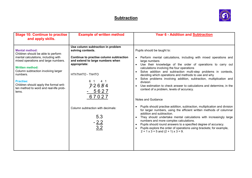

| <b>Stage 10: Continue to practise</b><br>and apply skills.                                                                                                                                                                                                                                                                              | <b>Example of written method</b>                                                                                                                                                                                                                                                    | <b>Year 6 - Addition and Subtraction</b>                                                                                                                                                                                                                                                                                                                                                                                                                                                                                                                                                                                                                                                                                                                                                                                                                                                                                                                                                                                                                                                                      |
|-----------------------------------------------------------------------------------------------------------------------------------------------------------------------------------------------------------------------------------------------------------------------------------------------------------------------------------------|-------------------------------------------------------------------------------------------------------------------------------------------------------------------------------------------------------------------------------------------------------------------------------------|---------------------------------------------------------------------------------------------------------------------------------------------------------------------------------------------------------------------------------------------------------------------------------------------------------------------------------------------------------------------------------------------------------------------------------------------------------------------------------------------------------------------------------------------------------------------------------------------------------------------------------------------------------------------------------------------------------------------------------------------------------------------------------------------------------------------------------------------------------------------------------------------------------------------------------------------------------------------------------------------------------------------------------------------------------------------------------------------------------------|
| <b>Mental method:</b><br>Children should be able to perform<br>mental calculations, including with<br>mixed operations and large numbers.<br><b>Written method:</b><br>Column subtraction involving larger<br>numbers.<br><b>Practise:</b><br>Children should apply the formal writ-<br>ten method to word and real-life prob-<br>lems. | Use column subtraction in problem<br>solving contexts.<br>Continue to practise column subtraction<br>and extend to large numbers when<br>appropriate:<br>HThThHTO - ThHTO<br>6 1<br>4 1<br>72654<br>5627<br>67027<br>Column subtraction with decimals:<br>5.3<br>$-\frac{2.2}{3.2}$ | Pupils should be taught to:<br>Perform mental calculations, including with mixed operations and<br>$\bullet$<br>large numbers<br>Use their knowledge of the order of operations to carry out<br>calculations involving the four operations<br>Solve addition and subtraction multi-step problems in contexts,<br>$\bullet$<br>deciding which operations and methods to use and why<br>Solve problems involving addition, subtraction, multiplication and<br>division<br>Use estimation to check answer to calculations and determine, in the<br>context of a problem, levels of accuracy.<br>Notes and Guidance<br>Pupils should practise addition, subtraction, multiplication and division<br>for larger numbers, using the efficient written methods of columnar<br>addition and subtraction.<br>They should undertake mental calculations with increasingly large<br>numbers and more complex calculations.<br>Pupils should round answers to a specified degree of accuracy.<br>Pupils explore the order of operations using brackets; for example,<br>$2 + 1 \times 3 = 5$ and $(2 + 1) \times 3 = 9$ . |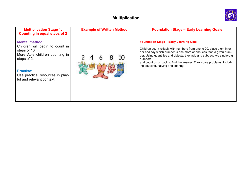

| <b>Multiplication Stage 1:</b><br>Counting in equal steps of 2                                                                                                                                                | <b>Example of Written Method</b> | <b>Foundation Stage - Early Learning Goals</b>                                                                                                                                                                                                                                                                                                                                                       |
|---------------------------------------------------------------------------------------------------------------------------------------------------------------------------------------------------------------|----------------------------------|------------------------------------------------------------------------------------------------------------------------------------------------------------------------------------------------------------------------------------------------------------------------------------------------------------------------------------------------------------------------------------------------------|
| <b>Mental method:</b><br>Children will begin to count in<br>steps of 10<br>More Able children counting in<br>steps of 2.<br><b>Practise:</b><br>Use practical resources in play-<br>ful and relevant context. |                                  | <b>Foundation Stage - Early Learning Goal</b><br>Children count reliably with numbers from one to 20, place them in or-<br>der and say which number is one more or one less than a given num-<br>ber. Using quantities and objects, they add and subtract two single-digit<br>numbers<br>and count on or back to find the answer. They solve problems, includ-<br>ing doubling, halving and sharing. |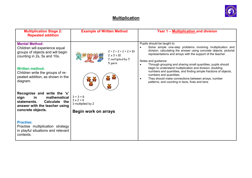

| <b>Multiplication Stage 2:</b><br><b>Repeated addition</b>                                                                                                                                                                               | <b>Example of Written Method</b>                                              | Year 1 - Multiplication and division                                                                                                                                                                                                                                                                                                                                                                                                                                                                                                                                                                                   |
|------------------------------------------------------------------------------------------------------------------------------------------------------------------------------------------------------------------------------------------|-------------------------------------------------------------------------------|------------------------------------------------------------------------------------------------------------------------------------------------------------------------------------------------------------------------------------------------------------------------------------------------------------------------------------------------------------------------------------------------------------------------------------------------------------------------------------------------------------------------------------------------------------------------------------------------------------------------|
| <b>Mental Method:</b><br>Children will experience equal<br>groups of objects and will begin<br>counting in 2s, 5s and 10s.<br><b>Written method:</b><br>Children write the groups of re-<br>peated addition, as shown in the<br>diagram. | $2 + 2 + 2 + 2 + 2 = 10$<br>$2 \times 5 = 10$<br>2 multiplied by 5<br>5 pairs | Pupils should be taught to:<br>Solve simple one-step problems involving multiplication and<br>division, calculating the answer using concrete objects, pictorial<br>representations and arrays with the support of the teacher.<br>Notes and guidance:<br>Through grouping and sharing small quantities, pupils should<br>$\bullet$<br>begin to understand multiplication and division; doubling<br>numbers and quantities, and finding simple fractions of objects,<br>numbers and quantities.<br>They should make connections between arrays, number<br>$\bullet$<br>patterns, and counting in twos, fives and tens. |
| Recognise and write the 'x'<br>mathematical<br>in<br>sign<br>statements.<br>Calculate the<br>answer with the teacher using<br>concrete objects.                                                                                          | $3 + 3 = 6$<br>$3 \times 2 = 6$<br>3 multiplied by 2<br>Begin work on arrays  |                                                                                                                                                                                                                                                                                                                                                                                                                                                                                                                                                                                                                        |
| <b>Practise:</b><br>Practise multiplication strategy<br>in playful situations and relevant<br>contexts.                                                                                                                                  |                                                                               |                                                                                                                                                                                                                                                                                                                                                                                                                                                                                                                                                                                                                        |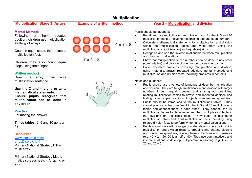

| <b>Multiplication Stage 3: Arrays</b>                                                                                                                                                                                                                                                                                                                                                                                                                                                                                                                                                                                                                                                                                                                                                                          | <b>Example of written method</b>     | <b>Year 2 - Multiplication and division</b>                                                                                                                                                                                                                                                                                                                                                                                                                                                                                                                                                                                                                                                                                                                                                                                                                                                                                                                                                                                                                                                                                                                                                                                                                                                                                                                                                                                                                                                                                                                                                                                                                                                                                                                                                                                                                                                                                                                                                                                                                                                                                                                                                                   |
|----------------------------------------------------------------------------------------------------------------------------------------------------------------------------------------------------------------------------------------------------------------------------------------------------------------------------------------------------------------------------------------------------------------------------------------------------------------------------------------------------------------------------------------------------------------------------------------------------------------------------------------------------------------------------------------------------------------------------------------------------------------------------------------------------------------|--------------------------------------|---------------------------------------------------------------------------------------------------------------------------------------------------------------------------------------------------------------------------------------------------------------------------------------------------------------------------------------------------------------------------------------------------------------------------------------------------------------------------------------------------------------------------------------------------------------------------------------------------------------------------------------------------------------------------------------------------------------------------------------------------------------------------------------------------------------------------------------------------------------------------------------------------------------------------------------------------------------------------------------------------------------------------------------------------------------------------------------------------------------------------------------------------------------------------------------------------------------------------------------------------------------------------------------------------------------------------------------------------------------------------------------------------------------------------------------------------------------------------------------------------------------------------------------------------------------------------------------------------------------------------------------------------------------------------------------------------------------------------------------------------------------------------------------------------------------------------------------------------------------------------------------------------------------------------------------------------------------------------------------------------------------------------------------------------------------------------------------------------------------------------------------------------------------------------------------------------------------|
| <b>Mental Method:</b><br><b>Following</b><br>from<br>repeated<br>on<br>addition, children use multiplication<br>strategy of arrays.<br>Count in equal steps, then relate to<br>multiplication fact.<br>Children may also count equal<br>steps using their fingers.<br><b>Written method:</b><br>Draw the<br>array,<br>then<br>write<br>multiplication sentence.<br>Use the $X$ and $=$ signs to write<br>mathematical statements.<br>Ensure pupils recognise that<br>multiplication can be done in<br>any order.<br><b>Practise:</b><br>Estimating the answer<br>Times tables: $2, 5$ and 10 up to $x$<br>12.<br><b>Resources:</b><br>www.ictgames.com/<br>arrayDisplay.html<br>Primary National Strategy ITP -<br>multi array<br>Primary National Strategy Mathe-<br>matics spreadsheets - Array cre-<br>ator | $4 \times 2 = 8$<br>$2 \times 4 = 8$ | Pupils should be taught to:<br>Recall and use multiplication and division facts for the 2, 5 and 10<br>$\bullet$<br>multiplication tables, including recognising odd and even numbers<br>Calculate mathematical statements for multiplication and division<br>within the multiplication tables and write them using the<br>multiplication (x), division $(+)$ and equals $(=)$ signs<br>Recognise and use the inverse relationship between multiplication<br>$\bullet$<br>and division in calculations<br>Show that multiplication of two numbers can be done in nay order<br>$\bullet$<br>(commutative) and division of one number by another cannot<br>Solve one-step problems involving multiplication and division,<br>$\bullet$<br>using materials, arrays, repeated addition, mental methods and<br>multiplication and division facts, including problems in contexts.<br>Notes and guidance:<br>Pupils should use a variety of language of describe multiplication<br>$\bullet$<br>and division. They are taught multiplication and division with larger<br>numbers through equal grouping and sharing out quantities,<br>relating multiplication tables to arrays and repeated addition and<br>finding more complex fractions of objects, numbers and quantities.<br>Pupils should be introduced to the multiplications tables. They<br>$\bullet$<br>should practise to become fluent in the 2, 5 and 10 multiplications<br>tables and connect them to each other. They connect the 10<br>multiplication tables to place value, and the 5 multiplication table to<br>the divisions on the clock face. They begin to use other<br>multiplication tables and recall multiplication facts, including using<br>related division facts to perform written and mental calculations.<br>Pupils should work with a range of materials and contexts in which<br>$\bullet$<br>multiplication and division relate to grouping and sharing discrete<br>and continuous quantities, relating these to fractions and measures<br>(e.g. $40 \div 2 = 20$ , 20 is a half of 40). They use commutatively and<br>inverse relations to develop multiplicative reasoning (e.g. $4 \times 5 =$<br>20 and $20 \div 5 = 4$ ). |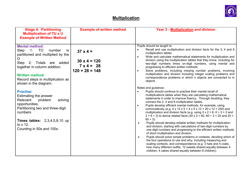

| <b>Example of Written Method</b>                                                                                                                                                                                                                                                                                                                                                                                                                                                                                                                                                                                                                                                                                                                                                                                                                                                                                                                                                                                                                                                                                                                                                                                                                                                                                                                                                                                                                                                                                                                                                            |                                                                                                                                                                                                                                                                                                                                                                                                                                                                                                                                                                                                                                                                                                                                                                                                                                                                                   |
|---------------------------------------------------------------------------------------------------------------------------------------------------------------------------------------------------------------------------------------------------------------------------------------------------------------------------------------------------------------------------------------------------------------------------------------------------------------------------------------------------------------------------------------------------------------------------------------------------------------------------------------------------------------------------------------------------------------------------------------------------------------------------------------------------------------------------------------------------------------------------------------------------------------------------------------------------------------------------------------------------------------------------------------------------------------------------------------------------------------------------------------------------------------------------------------------------------------------------------------------------------------------------------------------------------------------------------------------------------------------------------------------------------------------------------------------------------------------------------------------------------------------------------------------------------------------------------------------|-----------------------------------------------------------------------------------------------------------------------------------------------------------------------------------------------------------------------------------------------------------------------------------------------------------------------------------------------------------------------------------------------------------------------------------------------------------------------------------------------------------------------------------------------------------------------------------------------------------------------------------------------------------------------------------------------------------------------------------------------------------------------------------------------------------------------------------------------------------------------------------|
| Pupils should be taught to:<br><b>Mental method:</b><br>$\bullet$<br>1: TO<br>Step<br>number<br>is<br>$37 \times 4 =$<br>multiplication tables<br>partitioned and multiplied by the<br>$\bullet$<br>O<br>$30 \times 4 = 120$<br>Step 2: Totals are added<br>$7 \times 4 = 28$<br>together in column addition.<br>progressing to efficient written methods<br>$120 + 28 = 148$<br>$\bullet$<br><b>Written method:</b><br>Record steps in multiplication as<br>objects<br>shown in the diagram.<br>Notes and guidance:<br><b>Practise:</b><br>Pupils should continue to practise their mental recall of<br>$\bullet$<br>multiplications tables when they are calculating mathematical<br>Estimating the answer<br>statements in order to improve fluency. Through doubling, they<br>Relevant<br>solving<br>problem<br>connect the 2, 4 and 8 multiplication tables.<br>opportunities.<br>Pupils develop efficient mental methods, for example, using<br>$\bullet$<br>Partitioning two and three-digit<br>commutatively (e.g. 4 x 12 x 5 = 4 x 5 x 12 = 20 x 12 = 240) and<br>numbers<br>$60 \div 3$ ).<br>Times tables: 2,3,4,5,8,10 up<br>Pupils should develop reliable written methods for multiplication<br>$\bullet$<br>to $\times$ 12.<br>and division, starting with calculations of two-digit numbers by<br>Counting in 50s and 100s.<br>of short multiplication and division.<br>$\bullet$<br>the four operations to use and why, including measuring and<br>scaling contexts, and correspondence (e.g. 3 hats and 4 coats,<br>children; 4 cakes shared equally between 8 children). | Recall and use multiplication and division facts for the 3, 4 and 8<br>Write and calculate mathematical statements for multiplication and<br>division using the multiplication tables that they know, including for<br>two-digit numbers times on-digit numbers, using mental and<br>Solve problems, including missing number problems, involving<br>multiplication and division including integer scaling problems and<br>correspondence problems in which n objects are connected to m<br>multiplication and division facts (e.g. using $3 \times 2 = 6$ , $6 \div 3 = 2$ and<br>$2 = 6 \div 3$ ) to derive related facts (30 x 2 = 60, 60 $\div$ 3 = 20 and 20 =<br>one-digit numbers and progressing to the efficient written methods<br>Pupils should solve simple problems in contexts, deciding which of<br>how many different outfits; 12 sweets shared equally between 4 |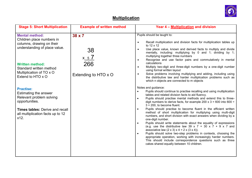

| <b>Stage 5: Short Multiplication</b><br><b>Example of written method</b><br>Year 4 - Multiplication and division                                                                                                                                                                                                                                                                                                                                                                                                                                                                                                                                                                                                                                                                                                                                                                                                                                                                                                                                                                                                                                                                                                                                                                                                                                                                                                                                                                                                                                                                                                                                                                                                                                                                                                                                                                                                                                                                                                                                                                                                                                                                                                                                                                                         |
|----------------------------------------------------------------------------------------------------------------------------------------------------------------------------------------------------------------------------------------------------------------------------------------------------------------------------------------------------------------------------------------------------------------------------------------------------------------------------------------------------------------------------------------------------------------------------------------------------------------------------------------------------------------------------------------------------------------------------------------------------------------------------------------------------------------------------------------------------------------------------------------------------------------------------------------------------------------------------------------------------------------------------------------------------------------------------------------------------------------------------------------------------------------------------------------------------------------------------------------------------------------------------------------------------------------------------------------------------------------------------------------------------------------------------------------------------------------------------------------------------------------------------------------------------------------------------------------------------------------------------------------------------------------------------------------------------------------------------------------------------------------------------------------------------------------------------------------------------------------------------------------------------------------------------------------------------------------------------------------------------------------------------------------------------------------------------------------------------------------------------------------------------------------------------------------------------------------------------------------------------------------------------------------------------------|
| Pupils should be taught to:<br>38 x 7<br><b>Mental method:</b><br>Children place numbers in<br>Recall multiplication and division facts for multiplication tables up<br>$\bullet$<br>columns, drawing on their<br>to 12 x 12<br>understanding of place value.<br>Use place value, known and derived facts to multiply and divide<br>38<br>$\bullet$<br>mentally, including: multiplying by 0 and 1; dividing by 1;<br>multiplying together three numbers<br>$x_{5}/$<br>Recognise and use factor pairs and commutatively in mental<br>$\bullet$<br>266<br>calculations<br><b>Written method:</b><br>Multiply two-digit and three-digit numbers by a one-digit number<br>$\bullet$<br>Standard written method<br>using formal written layout<br>Multiplication of TO x O<br>Solve problems involving multiplying and adding, including using<br>Extending to HTO x O<br>$\bullet$<br>Extend to HTO x O<br>the distributive law and harder multiplication problems such as<br>which n objects are connected to m objects<br>Notes and guidance:<br><b>Practise:</b><br>Pupils should continue to practise recalling and using multiplication<br>$\bullet$<br>Estimating the answer<br>tables and related division facts to aid fluency.<br>Relevant problem solving<br>Pupils should practise mental methods and extend this to three-<br>$\bullet$<br>opportunities.<br>digit numbers to derive facts, for example 200 x 3 = 600 into 600 ÷<br>$3 = 200$ , to become fluent.<br>Pupils should practise to become fluent in the efficient written<br><b>Times tables: Derive and recall</b><br>$\bullet$<br>method of short multiplication for multiplying using multi-digit<br>all multiplication facts up to 12<br>numbers, and short division with exact answers when dividing by a<br>x12.<br>one-digit number.<br>Pupils should write statements about the equality of expressions<br>$\bullet$<br>(e.g. use the distributive law 39 x $7 = 30$ x $7 + 9$ x 7 and<br>associative law $(2 \times 3) \times 4 = 2 \times (3 \times 4)$ .<br>Pupils should solve two-step problems in contexts, choosing the<br>$\bullet$<br>appropriate operation, working with increasingly harder numbers.<br>This should include correspondence questions such as three<br>cakes shared equally between 10 children. |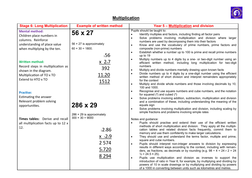

| <b>Stage 6: Long Multiplication</b>                                                                                                     | <b>Example of written method</b>                                                  | Year 5 – Multiplication and division                                                                                                                                                                                                                                                                                                                                                                                                                                                      |
|-----------------------------------------------------------------------------------------------------------------------------------------|-----------------------------------------------------------------------------------|-------------------------------------------------------------------------------------------------------------------------------------------------------------------------------------------------------------------------------------------------------------------------------------------------------------------------------------------------------------------------------------------------------------------------------------------------------------------------------------------|
| <b>Mental method:</b><br>Children place numbers in<br>columns. Reinforce<br>understanding of place value                                | 56 x 27<br>$56 \times 27$ is approximately                                        | Pupils should be taught to:<br>Identify multiples and factors, including finding all factor pairs<br>$\bullet$<br>Solve problems involving multiplication and division where larger<br>$\bullet$<br>numbers are used by decomposing them into their factors<br>Know and use the vocabulary of prime numbers, prime factors and<br>$\bullet$                                                                                                                                               |
| when multiplying by the ten.                                                                                                            | $60 \times 30 = 1800$ .<br>156                                                    | composite (non-prime) numbers<br>Establish whether a number up to 100 is prime and recall prime numbers<br>$\bullet$<br>up to 19<br>Multiply numbers up to 4 digits by a one- or two-digit number using an<br>$\bullet$                                                                                                                                                                                                                                                                   |
| <b>Written method:</b><br>Record steps in multiplication as<br>shown in the diagram.<br>Multiplication of TO x TO<br>Extend to HTO x TO | $\times$ 247<br>392<br>11.20                                                      | efficient written method, including long multiplication for two-digit<br>numbers<br>Multiply and divide numbers mentally drawing upon known facts<br>$\bullet$<br>Divide numbers up to 4 digits by a one-digit number using the efficient<br>$\bullet$<br>written method of short division and interpret remainders appropriately                                                                                                                                                         |
| <b>Practise:</b>                                                                                                                        | 1512                                                                              | for the context<br>Multiply and divide whole numbers and those involving decimals by 10,<br>$\bullet$<br>100 and 1000.<br>Recognise and use square numbers and cube numbers, and the notation<br>$\bullet$<br>for squared $(2)$ and cubed $(3)$                                                                                                                                                                                                                                           |
| Estimating the answer<br>Relevant problem solving<br>opportunities.                                                                     | 286 x 29                                                                          | Solve problems involving addition, subtraction, multiplication and division<br>$\bullet$<br>and a combination of these, including understanding the meaning of the<br>equals sign<br>Solve problems involving multiplication and division, including scaling by<br>$\bullet$<br>simple fractions and problems involving simple rates                                                                                                                                                      |
| Times tables: Derive and recall<br>all multiplication facts up to 12 x<br>12.                                                           | 286 $\times$ 29 is approximately<br>$300 \times 30 = 9000$<br>12.86<br>$X$ $7259$ | Notes and guidance:<br>Pupils should practise and extend their use of the efficient written<br>$\bullet$<br>methods of short multiplication and division. They apply all the multipli-<br>cation tables and related division facts frequently, commit them to<br>memory and use them confidently to make larger calculations.<br>They should use and understand the terms factor, multiple and prime,<br>$\bullet$                                                                        |
|                                                                                                                                         | 2 5 7 4<br>5.720<br>8 2 9 4                                                       | square and cube numbers.<br>Pupils should interpret non-integer answers to division by expressing<br>$\bullet$<br>results in different ways according to the context, including with remain-<br>ders, as fractions, as decimals or by rounding (e.g. $98 \div 4 = 24$ r $2 = 24$<br>$\frac{1}{2}$ = 24.5 $\approx$ 25).<br>Pupils use multiplication and division as inverses to support the<br>$\bullet$<br>introduction of ratio in Year 6, for example, by multiplying and dividing by |
|                                                                                                                                         |                                                                                   | powers of 10 in scale drawings or by multiplying and dividing by powers<br>of a 1000 in converting between units such as kilometres and metres.                                                                                                                                                                                                                                                                                                                                           |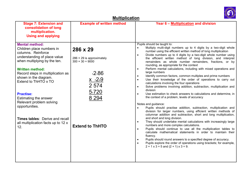

| <b>Stage 7: Extension and</b><br>consolidation of long<br>multiplication.<br><b>Using and applying</b>                                                                                                                                                                                                                                                                                                                                      | <b>Example of written method</b>                                                                                                                              | Year 6 - Multiplication and division                                                                                                                                                                                                                                                                                                                                                                                                                                                                                                                                                                                                                                                                                                                                                                                                                                                                                                                                                                                                                                                                                                                                                                                                                                                                                                                                                                                                                                                                                                                                                                                                                                                                                                                                    |
|---------------------------------------------------------------------------------------------------------------------------------------------------------------------------------------------------------------------------------------------------------------------------------------------------------------------------------------------------------------------------------------------------------------------------------------------|---------------------------------------------------------------------------------------------------------------------------------------------------------------|-------------------------------------------------------------------------------------------------------------------------------------------------------------------------------------------------------------------------------------------------------------------------------------------------------------------------------------------------------------------------------------------------------------------------------------------------------------------------------------------------------------------------------------------------------------------------------------------------------------------------------------------------------------------------------------------------------------------------------------------------------------------------------------------------------------------------------------------------------------------------------------------------------------------------------------------------------------------------------------------------------------------------------------------------------------------------------------------------------------------------------------------------------------------------------------------------------------------------------------------------------------------------------------------------------------------------------------------------------------------------------------------------------------------------------------------------------------------------------------------------------------------------------------------------------------------------------------------------------------------------------------------------------------------------------------------------------------------------------------------------------------------------|
| <b>Mental method:</b><br>Children place numbers in<br>columns. Reinforce<br>understanding of place value<br>when multiplying by the ten.<br><b>Written method:</b><br>Record steps in multiplication as<br>shown in the diagram.<br>Extend to ThHTO x TO<br><b>Practise:</b><br>Estimating the answer<br>Relevant problem solving<br>opportunities.<br><b>Times tables: Derive and recall</b><br>all multiplication facts up to 12 x<br>12. | $286 \times 29$<br>$286 \times 29$ is approximately<br>$300 \times 30 = 9000$<br>12.86<br>$X$ $72.9$<br>2 5 7 4<br>5.720<br>8 2 9 4<br><b>Extend to ThHTO</b> | Pupils should be taught to:<br>Multiply multi-digit numbers up to 4 digits by a two-digit whole<br>$\bullet$<br>number using the efficient written method of long multiplication<br>Divide numbers up to 4 digits by a two-digit whole number using<br>$\bullet$<br>the efficient written method of long division, and interpret<br>remainders as whole number remainders, fractions, or by<br>rounding, as appropriate for the context<br>Perform mental calculations, including with mixed operations and<br>$\bullet$<br>large numbers<br>Identify common factors, common multiples and prime numbers<br>$\bullet$<br>Use their knowledge of the order of operations to carry out<br>$\bullet$<br>calculations involving the four operations<br>Solve problems involving addition, subtraction, multiplication and<br>$\bullet$<br>division<br>Use estimation to check answers to calculations and determine, in<br>$\bullet$<br>the context of a problem, levels of accuracy<br>Notes and guidance:<br>Pupils should practise addition, subtraction, multiplication and<br>$\bullet$<br>division for larger numbers, using efficient written methods of<br>columnar addition and subtraction, short and long multiplication,<br>and short and long division.<br>They should undertake mental calculations with increasingly large<br>$\bullet$<br>numbers and more complex calculations.<br>Pupils should continue to use all the multiplication tables to<br>$\bullet$<br>calculate mathematical statements in order to maintain their<br>fluency.<br>Pupils should round answers to a specified degree of accuracy.<br>٠<br>Pupils explore the order of operations using brackets; for example,<br>$\bullet$<br>$2 + 1 \times 3 = 5$ and $(2 + 1) \times 3 = 9$ . |
|                                                                                                                                                                                                                                                                                                                                                                                                                                             |                                                                                                                                                               |                                                                                                                                                                                                                                                                                                                                                                                                                                                                                                                                                                                                                                                                                                                                                                                                                                                                                                                                                                                                                                                                                                                                                                                                                                                                                                                                                                                                                                                                                                                                                                                                                                                                                                                                                                         |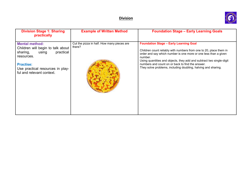

| <b>Division Stage 1: Sharing</b><br>practically                                                                                                                                                 | <b>Example of Written Method</b>                     | <b>Foundation Stage - Early Learning Goals</b>                                                                                                                                                                                                                                                                                                                                                 |
|-------------------------------------------------------------------------------------------------------------------------------------------------------------------------------------------------|------------------------------------------------------|------------------------------------------------------------------------------------------------------------------------------------------------------------------------------------------------------------------------------------------------------------------------------------------------------------------------------------------------------------------------------------------------|
| <b>Mental method:</b><br>Children will begin to talk about<br>using<br>practical<br>sharing,<br>resources.<br><b>Practise:</b><br>Use practical resources in play-<br>ful and relevant context. | Cut the pizza in half. How many pieces are<br>there? | <b>Foundation Stage - Early Learning Goal</b><br>Children count reliably with numbers from one to 20, place them in<br>order and say which number is one more or one less than a given<br>number.<br>Using quantities and objects, they add and subtract two single-digit<br>numbers and count on or back to find the answer.<br>They solve problems, including doubling, halving and sharing. |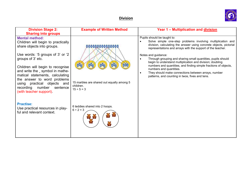

| <b>Division Stage 2:</b>                                                                                                                                                                                                                                                                                                                                                                                                               | <b>Example of Written Method</b>                                                                                              | Year 1 - Multiplication and division                                                                                                                                                                                                                                                                                                                                                                                                                                                                                                                                                                      |
|----------------------------------------------------------------------------------------------------------------------------------------------------------------------------------------------------------------------------------------------------------------------------------------------------------------------------------------------------------------------------------------------------------------------------------------|-------------------------------------------------------------------------------------------------------------------------------|-----------------------------------------------------------------------------------------------------------------------------------------------------------------------------------------------------------------------------------------------------------------------------------------------------------------------------------------------------------------------------------------------------------------------------------------------------------------------------------------------------------------------------------------------------------------------------------------------------------|
| <b>Sharing into groups</b><br><b>Mental method:</b><br>Children will begin to practically<br>share objects into groups.<br>Use words: '5 groups of 3' or '2<br>groups of 3' etc.<br>Children will begin to recognise<br>and write the, symbol in mathe-<br>matical statements, calculating<br>the answer to word problems<br>using practical objects and<br>recording number<br>sentence<br>(with teacher support)<br><b>Practise:</b> | 00000000000000<br>15 marbles are shared out equally among 5<br>children.<br>$15 \div 5 = 3$<br>6 teddies shared into 2 hoops. | Pupils should be taught to:<br>Solve simple one-step problems involving multiplication and<br>division, calculating the answer using concrete objects, pictorial<br>representations and arrays with the support of the teacher.<br>Notes and guidance:<br>Through grouping and sharing small quantities, pupils should<br>begin to understand multiplication and division; doubling<br>numbers and quantities, and finding simple fractions of objects,<br>numbers and quantities.<br>They should make connections between arrays, number<br>$\bullet$<br>patterns, and counting in twos, fives and tens. |
| Use practical resources in play-<br>ful and relevant context.                                                                                                                                                                                                                                                                                                                                                                          | $6 ÷ 2 = 3$                                                                                                                   |                                                                                                                                                                                                                                                                                                                                                                                                                                                                                                                                                                                                           |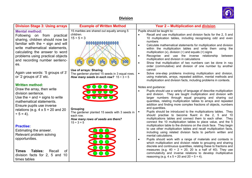

| <b>Division Stage 3: Using arrays</b>                                                                                                                                                                                                                                                                                                            | <b>Example of Written Method</b>                                                                                                                                                                                                                               | <b>Year 2 - Multiplication and division</b>                                                                                                                                                                                                                                                                                                                                                                                                                                                                                                                                                                                                                                                                                                                                                                                                                                                                                                                                                                                                                                                               |
|--------------------------------------------------------------------------------------------------------------------------------------------------------------------------------------------------------------------------------------------------------------------------------------------------------------------------------------------------|----------------------------------------------------------------------------------------------------------------------------------------------------------------------------------------------------------------------------------------------------------------|-----------------------------------------------------------------------------------------------------------------------------------------------------------------------------------------------------------------------------------------------------------------------------------------------------------------------------------------------------------------------------------------------------------------------------------------------------------------------------------------------------------------------------------------------------------------------------------------------------------------------------------------------------------------------------------------------------------------------------------------------------------------------------------------------------------------------------------------------------------------------------------------------------------------------------------------------------------------------------------------------------------------------------------------------------------------------------------------------------------|
| <b>Mental method:</b><br>Following on from practical<br>sharing, children should now be<br>familiar with the $\div$ sign and will<br>write mathematical statements,<br>calculating the answer to word<br>problems using practical objects<br>and recording number sentenc-<br>es.<br>Again use words: '5 groups of 3'<br>or '2 groups of 3' etc. | 15 marbles are shared out equally among 5<br>children.<br>$15 \div 5 = 3$<br>00000000000000<br>ich<br>Use of arrays: Sharing<br>The gardener planted 15 seeds in 3 equal rows.<br>How many seeds in each row? $15 \div 3 = 5$                                  | Pupils should be taught to:<br>Recall and use multiplication and division facts for the 2, 5 and<br>10 multiplication tables, including recognising odd and even<br>numbers<br>Calculate mathematical statements for multiplication and division<br>within the multiplication tables and write them using the<br>multiplication (x), division $(+)$ and equals $(=)$ signs<br>Recognise and use the inverse relationship between<br>$\bullet$<br>multiplication and division in calculations<br>Show that multiplication of two numbers can be done in nay<br>$\bullet$<br>order (commutative) and division of one number by another<br>cannot<br>Solve one-step problems involving multiplication and division,<br>using materials, arrays, repeated addition, mental methods and<br>multiplication and division facts, including problems in contexts.                                                                                                                                                                                                                                                  |
| <b>Written method:</b><br>Draw the array, then write<br>division sentence.<br>Use the $\div$ and = signs to write<br>mathematical statements.<br>Ensure pupils use inverse<br>relations (e.g. $4 \times 5 = 20$ and 20<br>$\div$ 5 = 4).<br><b>Practise:</b><br>Estimating the answer.<br>Relevant problem solving<br>opportunities.             | $\mathbf{C}\,0\,0\,0$<br>OUUUO<br>OUUUO<br>Grouping<br>The gardener planted 15 seeds with 3 seeds in<br>each row.<br>How many rows of seeds are there?<br>$15 \div 3 = 5$<br>$\overline{\mathbf{OOD}}$<br>$\bigcirc$ $\bigcirc$<br>$\overline{\mathcal{Q}}$ or | Notes and guidance:<br>Pupils should use a variety of language of describe multiplication<br>$\bullet$<br>and division. They are taught multiplication and division with<br>larger numbers through equal grouping and sharing out<br>quantities, relating multiplication tables to arrays and repeated<br>addition and finding more complex fractions of objects, numbers<br>and quantities.<br>Pupils should be introduced to the multiplications tables. They<br>should practise to become fluent in the 2, 5 and 10<br>multiplications tables and connect them to each other. They<br>connect the 10 multiplication tables to place value, and the 5<br>multiplication table to the divisions on the clock face. They begin<br>to use other multiplication tables and recall multiplication facts,<br>including using related division facts to perform written and<br>mental calculations.<br>Pupils should work with a range of materials and contexts in<br>which multiplication and division relate to grouping and sharing<br>discrete and continuous quantities, relating these to fractions and |
| Tables:<br><b>Times</b><br>Recall<br><b>of</b><br>division facts for 2, 5 and 10<br>times tables                                                                                                                                                                                                                                                 |                                                                                                                                                                                                                                                                | measures (e.g. $40 \div 2 = 20$ , 20 is a half of 40). They use<br>commutativity and inverse relations to develop multiplicative<br>reasoning (e.g. $4 \times 5 = 20$ and $20 \div 5 = 4$ ).                                                                                                                                                                                                                                                                                                                                                                                                                                                                                                                                                                                                                                                                                                                                                                                                                                                                                                              |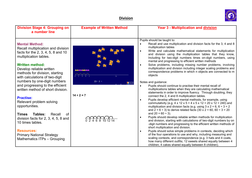

| <b>Division Stage 4: Grouping on</b><br>a number line                                                                                                                                                                                                 | <b>Example of Written Method</b> | <b>Year 3 - Multiplication and division</b>                                                                                                                                                                                                                                                                                                                                                                                                                                                                                                                                                             |
|-------------------------------------------------------------------------------------------------------------------------------------------------------------------------------------------------------------------------------------------------------|----------------------------------|---------------------------------------------------------------------------------------------------------------------------------------------------------------------------------------------------------------------------------------------------------------------------------------------------------------------------------------------------------------------------------------------------------------------------------------------------------------------------------------------------------------------------------------------------------------------------------------------------------|
| <b>Mental Method:</b><br>Recall multiplication and division<br>facts for the 2, 3, 4, 5, 8 and 10<br>multiplication tables.<br><b>Written method:</b><br>Develop reliable written<br>methods for division, starting<br>with calculations of two-digit | SK SK HARDK SK SK S              | Pupils should be taught to:<br>Recall and use multiplication and division facts for the 3, 4 and 8<br>multiplication tables<br>Write and calculate mathematical statements for multiplication<br>and division using the multiplication tables that they know,<br>Including for two-digit numbers times on-digit numbers, using<br>mental and progressing to efficient written methods<br>Solve problems, including missing number problems, involving<br>multiplication and division including integer scaling problems and<br>correspondence problems in which n objects are connected to m<br>objects |
| numbers by one-digit numbers<br>and progressing to the efficient<br>written method of short division.                                                                                                                                                 | $23 \div 2 =$<br>国网              | Notes and guidance:<br>Pupils should continue to practise their mental recall of<br>$\bullet$<br>multiplications tables when they are calculating mathematical                                                                                                                                                                                                                                                                                                                                                                                                                                          |
| <b>Practise:</b><br>Relevant problem solving<br>opportunities.                                                                                                                                                                                        | $14 \div 2 = 7$                  | statements in order to improve fluency. Through doubling, they<br>connect the 2, 4 and 8 multiplication tables.<br>Pupils develop efficient mental methods, for example, using<br>commutativity (e.g. 4 x 12 x 5 = 4 x 5 x 12 = 20 x 12 = 240) and<br>multiplication and division facts (e.g. using $3 \times 2 = 6$ , $6 \div 3 = 2$<br>and $2 = 6 \div 3$ ) to derive related facts (30 x 2 = 60, 60 $\div 3 = 20$                                                                                                                                                                                    |
| Tables:<br>Recall<br>Times<br><b>of</b><br>division facts for $2, 3, 4, 5, 8$ and<br>10 times tables.                                                                                                                                                 |                                  | and $20 = 60 \div 3$ ).<br>Pupils should develop reliable written methods for multiplication<br>and division, starting with calculations of two-digit numbers by on<br>-digit numbers and progressing to the efficient written methods of<br>short multiplication and division.                                                                                                                                                                                                                                                                                                                         |
| <b>Resources:</b><br><b>Primary National Strategy</b><br><b>Mathematics ITPs - Grouping</b>                                                                                                                                                           |                                  | Pupils should solve simple problems in contexts, deciding which<br>$\bullet$<br>of the four operations to use and why, including measuring and<br>scaling contexts, and correspondence (e.g. 3 hats and 4 coats,<br>how many different outfits; 12 sweets shared equally between 4<br>children; 4 cakes shared equally between 8 children).                                                                                                                                                                                                                                                             |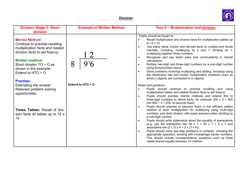

| <b>Division Stage 5: Short</b><br>division                                                                                                                                                                                                                   | <b>Example of Written Method</b> | Year 4 - Multiplication and division                                                                                                                                                                                                                                                                                                                                                                                                                                                                                                                                                                                                                                                                                 |
|--------------------------------------------------------------------------------------------------------------------------------------------------------------------------------------------------------------------------------------------------------------|----------------------------------|----------------------------------------------------------------------------------------------------------------------------------------------------------------------------------------------------------------------------------------------------------------------------------------------------------------------------------------------------------------------------------------------------------------------------------------------------------------------------------------------------------------------------------------------------------------------------------------------------------------------------------------------------------------------------------------------------------------------|
| <b>Mental Method:</b><br>Continue to practise recalling<br>multiplication facts and related<br>division facts to aid fluency.<br><b>Written method:</b><br>Short division $TO + O$ as<br>shown in the example.<br>Extend to HTO $\div$ O<br><b>Practise:</b> | 8                                | Pupils should be taught to:<br>Recall multiplication and division facts for multiplication tables up<br>to 12 x 12<br>Use place value, known and derived facts to multiply and divide<br>$\bullet$<br>mentally, including: multiplying by 0 and 1; dividing by 1;<br>multiplying together three numbers<br>Recognise and use factor pairs and commutativity in mental<br>$\bullet$<br>calculations<br>Multiply two-digit and three-digit numbers by a one-digit number<br>$\bullet$<br>using formal written layout<br>Solve problems involving multiplying and adding, including using<br>$\bullet$<br>the distributive law and harder multiplication problems such as<br>which n objects are connected to m objects |
| Estimating the answer<br>Relevant problem solving<br>opportunities.                                                                                                                                                                                          | Extend to HTO ÷ O                | Notes and guidance:<br>Pupils should continue to practise recalling and using<br>$\bullet$<br>multiplication tables and related division facts to aid fluency.<br>Pupils should practise mental methods and extend this to<br>$\bullet$<br>three-digit numbers to derive facts, for example 200 $\times$ 3 = 600<br>into $600 \div 3 = 200$ , to become fluent.<br>Pupils should practise to become fluent in the efficient written<br>$\bullet$                                                                                                                                                                                                                                                                     |
| Times Tables: Recall of divi-<br>sion facts all tables up to 12 x<br>12.                                                                                                                                                                                     |                                  | method of short multiplication for multiplying using multi-digit<br>numbers, and short division with exact answers when dividing by<br>a one-digit number.<br>Pupils should write statements about the equality of expressions<br>$\bullet$<br>(e.g. use the distributive law 39 x 7 = 30 x 7 + 9 x 7 and<br>associative law $(2 \times 3) \times 4 = 2 \times (3 \times 4)$ .<br>Pupils should solve two-step problems in contexts, choosing the<br>$\bullet$<br>appropriate operation, working with increasingly harder numbers.<br>This should include correspondence questions such as three<br>cakes shared equally between 10 children.                                                                        |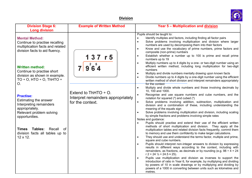

| <b>Division Stage 6:</b><br><b>Long division</b>                                                                                                                                       | <b>Example of Written Method</b>                                                    | Year 5 - Multiplication and division                                                                                                                                                                                                                                                                                                                                                                                                                                                                                                                                                                                                                                                                                                                                        |
|----------------------------------------------------------------------------------------------------------------------------------------------------------------------------------------|-------------------------------------------------------------------------------------|-----------------------------------------------------------------------------------------------------------------------------------------------------------------------------------------------------------------------------------------------------------------------------------------------------------------------------------------------------------------------------------------------------------------------------------------------------------------------------------------------------------------------------------------------------------------------------------------------------------------------------------------------------------------------------------------------------------------------------------------------------------------------------|
| <b>Mental Method:</b><br>Continue to practise recalling<br>multiplication facts and related<br>division facts to aid fluency.                                                          | 137 r 5                                                                             | Pupils should be taught to:<br>Identify multiples and factors, including finding all factor pairs<br>Solve problems involving multiplication and division where larger<br>numbers are used by decomposing them into their factors<br>Know and use the vocabulary of prime numbers, prime factors and<br>composite (non-prime) numbers<br>Establish whether a number up to 100 is prime and recall prime<br>numbers up to 19                                                                                                                                                                                                                                                                                                                                                 |
| <b>Written method:</b><br>Continue to practise short<br>division as shown in example.<br>$TO + O$ , HTO $\div$ O, ThHTO $\div$<br>O.                                                   | $9^26^54$                                                                           | Multiply numbers up to 4 digits by a one- or two-digit number using an<br>efficient written method, including long multiplication for two-digit<br>numbers<br>Multiply and divide numbers mentally drawing upon known facts<br>Divide numbers up to 4 digits by a one-digit number using the efficient<br>written method of short division and interpret remainders appropriately<br>for the context<br>Multiply and divide whole numbers and those involving decimals by<br>$\bullet$                                                                                                                                                                                                                                                                                      |
| <b>Practise:</b><br>Estimating the answer<br>Interpreting remainders<br>appropriately.<br>Relevant problem solving<br>opportunities.<br>Tables:<br>Recall<br><b>Times</b><br><b>of</b> | Extend to ThHTO $\div$ O.<br>Interpret remainders appropriately<br>for the context. | 10, 100 and 1000.<br>Recognise and use square numbers and cube numbers, and the<br>notation for squared $(2)$ and cubed $(3)$<br>Solve problems involving addition, subtraction, multiplication and<br>division and a combination of these, including understanding the<br>meaning of the equals sign<br>Solve problems involving multiplication and division, including scaling<br>by simple fractions and problems involving simple rates<br>Notes and guidance:<br>Pupils should practise and extend their use of the efficient written<br>methods of short multiplication and division. They apply all the<br>multiplication tables and related division facts frequently, commit them                                                                                  |
| division facts all tables up to<br>12 x 12.                                                                                                                                            |                                                                                     | to memory and use them confidently to make larger calculations.<br>They should use and understand the terms factor, multiple and prime,<br>$\bullet$<br>square and cube numbers.<br>Pupils should interpret non-integer answers to division by expressing<br>results in different ways according to the context, including with<br>remainders, as fractions, as decimals or by rounding (e.g. $98 \div 4 = 24$<br>$r$ 2 = 24 $\frac{1}{2}$ = 24.5 $\approx$ 25).<br>Pupils use multiplication and division as inverses to support the<br>introduction of ratio in Year 6, for example, by multiplying and dividing<br>by powers of 10 in scale drawings or by multiplying and dividing by<br>powers of a 1000 in converting between units such as kilometres and<br>metres. |